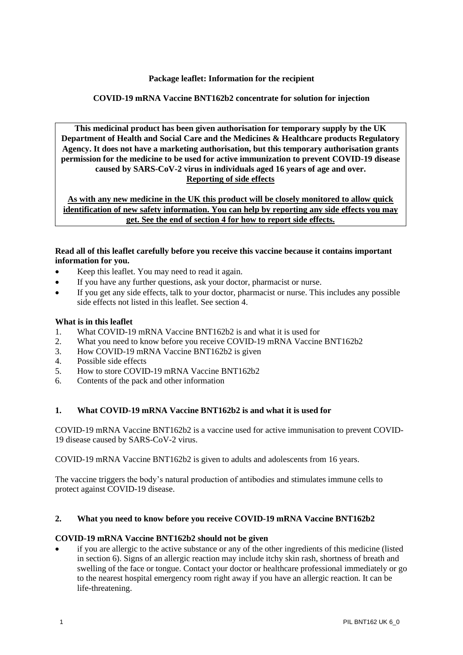# **Package leaflet: Information for the recipient**

# **COVID-19 mRNA Vaccine BNT162b2 concentrate for solution for injection**

**This medicinal product has been given authorisation for temporary supply by the UK Department of Health and Social Care and the Medicines & Healthcare products Regulatory Agency. It does not have a marketing authorisation, but this temporary authorisation grants permission for the medicine to be used for active immunization to prevent COVID-19 disease caused by SARS-CoV-2 virus in individuals aged 16 years of age and over. Reporting of side effects**

**As with any new medicine in the UK this product will be closely monitored to allow quick identification of new safety information. You can help by reporting any side effects you may get. See the end of section 4 for how to report side effects.**

### **Read all of this leaflet carefully before you receive this vaccine because it contains important information for you.**

- Keep this leaflet. You may need to read it again.
- If you have any further questions, ask your doctor, pharmacist or nurse.
- If you get any side effects, talk to your doctor, pharmacist or nurse. This includes any possible side effects not listed in this leaflet. See section 4.

#### **What is in this leaflet**

- 1. What COVID-19 mRNA Vaccine BNT162b2 is and what it is used for
- 2. What you need to know before you receive COVID-19 mRNA Vaccine BNT162b2
- 3. How COVID-19 mRNA Vaccine BNT162b2 is given
- 4. Possible side effects
- 5. How to store COVID-19 mRNA Vaccine BNT162b2
- 6. Contents of the pack and other information

# **1. What COVID-19 mRNA Vaccine BNT162b2 is and what it is used for**

COVID-19 mRNA Vaccine BNT162b2 is a vaccine used for active immunisation to prevent COVID-19 disease caused by SARS-CoV-2 virus.

COVID-19 mRNA Vaccine BNT162b2 is given to adults and adolescents from 16 years.

The vaccine triggers the body's natural production of antibodies and stimulates immune cells to protect against COVID-19 disease.

#### **2. What you need to know before you receive COVID-19 mRNA Vaccine BNT162b2**

#### **COVID-19 mRNA Vaccine BNT162b2 should not be given**

if you are allergic to the active substance or any of the other ingredients of this medicine (listed in section 6). Signs of an allergic reaction may include itchy skin rash, shortness of breath and swelling of the face or tongue. Contact your doctor or healthcare professional immediately or go to the nearest hospital emergency room right away if you have an allergic reaction. It can be life-threatening.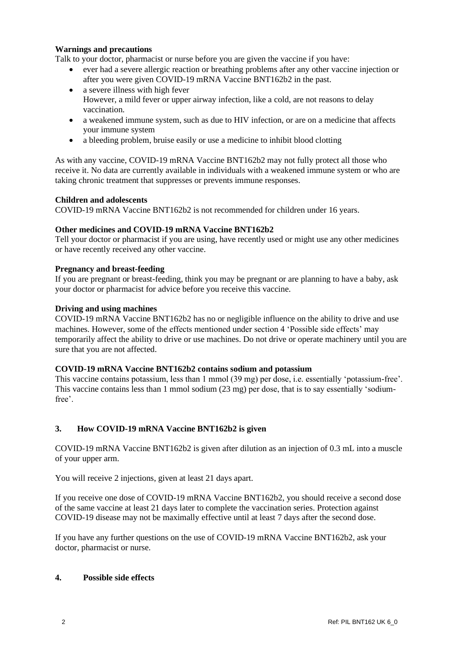# **Warnings and precautions**

Talk to your doctor, pharmacist or nurse before you are given the vaccine if you have:

- ever had a severe allergic reaction or breathing problems after any other vaccine injection or after you were given COVID-19 mRNA Vaccine BNT162b2 in the past.
- a severe illness with high fever However, a mild fever or upper airway infection, like a cold, are not reasons to delay vaccination.
- a weakened immune system, such as due to HIV infection, or are on a medicine that affects your immune system
- a bleeding problem, bruise easily or use a medicine to inhibit blood clotting

As with any vaccine, COVID-19 mRNA Vaccine BNT162b2 may not fully protect all those who receive it. No data are currently available in individuals with a weakened immune system or who are taking chronic treatment that suppresses or prevents immune responses.

#### **Children and adolescents**

COVID-19 mRNA Vaccine BNT162b2 is not recommended for children under 16 years.

# **Other medicines and COVID-19 mRNA Vaccine BNT162b2**

Tell your doctor or pharmacist if you are using, have recently used or might use any other medicines or have recently received any other vaccine.

#### **Pregnancy and breast-feeding**

If you are pregnant or breast-feeding, think you may be pregnant or are planning to have a baby, ask your doctor or pharmacist for advice before you receive this vaccine.

#### **Driving and using machines**

COVID-19 mRNA Vaccine BNT162b2 has no or negligible influence on the ability to drive and use machines. However, some of the effects mentioned under section 4 'Possible side effects' may temporarily affect the ability to drive or use machines. Do not drive or operate machinery until you are sure that you are not affected.

#### **COVID-19 mRNA Vaccine BNT162b2 contains sodium and potassium**

This vaccine contains potassium, less than 1 mmol (39 mg) per dose, i.e. essentially 'potassium-free'. This vaccine contains less than 1 mmol sodium (23 mg) per dose, that is to say essentially 'sodiumfree'.

# **3. How COVID-19 mRNA Vaccine BNT162b2 is given**

COVID-19 mRNA Vaccine BNT162b2 is given after dilution as an injection of 0.3 mL into a muscle of your upper arm.

You will receive 2 injections, given at least 21 days apart.

If you receive one dose of COVID-19 mRNA Vaccine BNT162b2, you should receive a second dose of the same vaccine at least 21 days later to complete the vaccination series. Protection against COVID-19 disease may not be maximally effective until at least 7 days after the second dose.

If you have any further questions on the use of COVID-19 mRNA Vaccine BNT162b2, ask your doctor, pharmacist or nurse.

# **4. Possible side effects**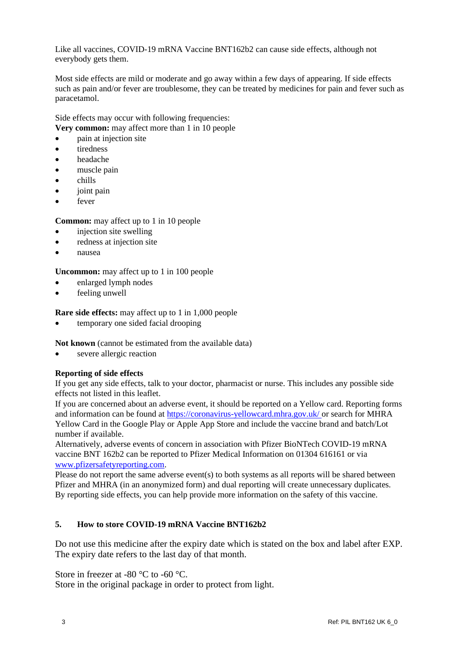Like all vaccines, COVID-19 mRNA Vaccine BNT162b2 can cause side effects, although not everybody gets them.

Most side effects are mild or moderate and go away within a few days of appearing. If side effects such as pain and/or fever are troublesome, they can be treated by medicines for pain and fever such as paracetamol.

Side effects may occur with following frequencies: **Very common:** may affect more than 1 in 10 people

- pain at injection site
- tiredness
- headache
- muscle pain
- chills
- joint pain
- fever

**Common:** may affect up to 1 in 10 people

- injection site swelling
- redness at injection site
- nausea

**Uncommon:** may affect up to 1 in 100 people

- enlarged lymph nodes
- feeling unwell

**Rare side effects:** may affect up to 1 in 1,000 people

• temporary one sided facial drooping

**Not known** (cannot be estimated from the available data)

severe allergic reaction

# **Reporting of side effects**

If you get any side effects, talk to your doctor, pharmacist or nurse. This includes any possible side effects not listed in this leaflet.

If you are concerned about an adverse event, it should be reported on a Yellow card. Reporting forms and information can be found at [https://coronavirus-yellowcard.mhra.gov.uk/](https://urldefense.proofpoint.com/v2/url?u=https-3A__coronavirus-2Dyellowcard.mhra.gov.uk_&d=DwMFAw&c=UE1eNsedaKncO0Yl_u8bfw&r=w6DflmRjAsYvVgMKqVz9KrnRxozkgmY6dohkPH9v-GQ&m=5fApxr6fCynUxULIWuMMejFo49W4_mwg7n7GUdMrc9o&s=sT1kwHYDeU7PNafh4f6EUzHYXrzBw368J0VW6QtyBJk&e=) or search for MHRA Yellow Card in the Google Play or Apple App Store and include the vaccine brand and batch/Lot number if available.

Alternatively, adverse events of concern in association with Pfizer BioNTech COVID-19 mRNA vaccine BNT 162b2 can be reported to Pfizer Medical Information on 01304 616161 or via [www.pfizersafetyreporting.com.](http://www.pfizersafetyreporting.com/)

Please do not report the same adverse event(s) to both systems as all reports will be shared between Pfizer and MHRA (in an anonymized form) and dual reporting will create unnecessary duplicates. By reporting side effects, you can help provide more information on the safety of this vaccine.

# **5. How to store COVID-19 mRNA Vaccine BNT162b2**

Do not use this medicine after the expiry date which is stated on the box and label after EXP. The expiry date refers to the last day of that month.

Store in freezer at -80 °C to -60 °C.

Store in the original package in order to protect from light.